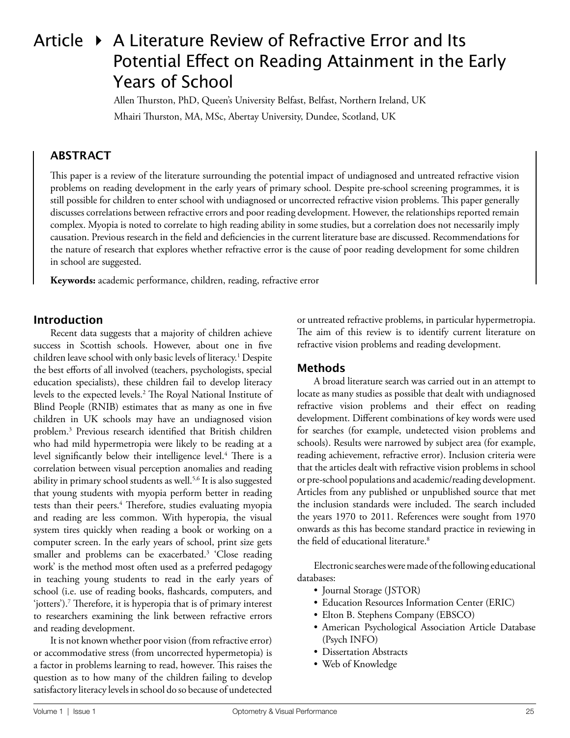# Article  $\rightarrow$  A Literature Review of Refractive Error and Its Potential Effect on Reading Attainment in the Early Years of School

Allen Thurston, PhD, Queen's University Belfast, Belfast, Northern Ireland, UK Mhairi Thurston, MA, MSc, Abertay University, Dundee, Scotland, UK

# **ABSTRACT**

This paper is a review of the literature surrounding the potential impact of undiagnosed and untreated refractive vision problems on reading development in the early years of primary school. Despite pre-school screening programmes, it is still possible for children to enter school with undiagnosed or uncorrected refractive vision problems. This paper generally discusses correlations between refractive errors and poor reading development. However, the relationships reported remain complex. Myopia is noted to correlate to high reading ability in some studies, but a correlation does not necessarily imply causation. Previous research in the field and deficiencies in the current literature base are discussed. Recommendations for the nature of research that explores whether refractive error is the cause of poor reading development for some children in school are suggested.

**Keywords:** academic performance, children, reading, refractive error

### **Introduction**

Recent data suggests that a majority of children achieve success in Scottish schools. However, about one in five children leave school with only basic levels of literacy.1 Despite the best efforts of all involved (teachers, psychologists, special education specialists), these children fail to develop literacy levels to the expected levels.2 The Royal National Institute of Blind People (RNIB) estimates that as many as one in five children in UK schools may have an undiagnosed vision problem.3 Previous research identified that British children who had mild hypermetropia were likely to be reading at a level significantly below their intelligence level.<sup>4</sup> There is a correlation between visual perception anomalies and reading ability in primary school students as well.<sup>5,6</sup> It is also suggested that young students with myopia perform better in reading tests than their peers.<sup>4</sup> Therefore, studies evaluating myopia and reading are less common. With hyperopia, the visual system tires quickly when reading a book or working on a computer screen. In the early years of school, print size gets smaller and problems can be exacerbated.<sup>3</sup> 'Close reading work' is the method most often used as a preferred pedagogy in teaching young students to read in the early years of school (i.e. use of reading books, flashcards, computers, and 'jotters').7 Therefore, it is hyperopia that is of primary interest to researchers examining the link between refractive errors and reading development.

It is not known whether poor vision (from refractive error) or accommodative stress (from uncorrected hypermetopia) is a factor in problems learning to read, however. This raises the question as to how many of the children failing to develop satisfactory literacy levels in school do so because of undetected

or untreated refractive problems, in particular hypermetropia. The aim of this review is to identify current literature on refractive vision problems and reading development.

## **Methods**

A broad literature search was carried out in an attempt to locate as many studies as possible that dealt with undiagnosed refractive vision problems and their effect on reading development. Different combinations of key words were used for searches (for example, undetected vision problems and schools). Results were narrowed by subject area (for example, reading achievement, refractive error). Inclusion criteria were that the articles dealt with refractive vision problems in school or pre-school populations and academic/reading development. Articles from any published or unpublished source that met the inclusion standards were included. The search included the years 1970 to 2011. References were sought from 1970 onwards as this has become standard practice in reviewing in the field of educational literature.<sup>8</sup>

Electronic searches were made of the following educational databases:

- Journal Storage (JSTOR)
- Education Resources Information Center (ERIC)
- Elton B. Stephens Company (EBSCO)
- American Psychological Association Article Database (Psych INFO)
- Dissertation Abstracts
- Web of Knowledge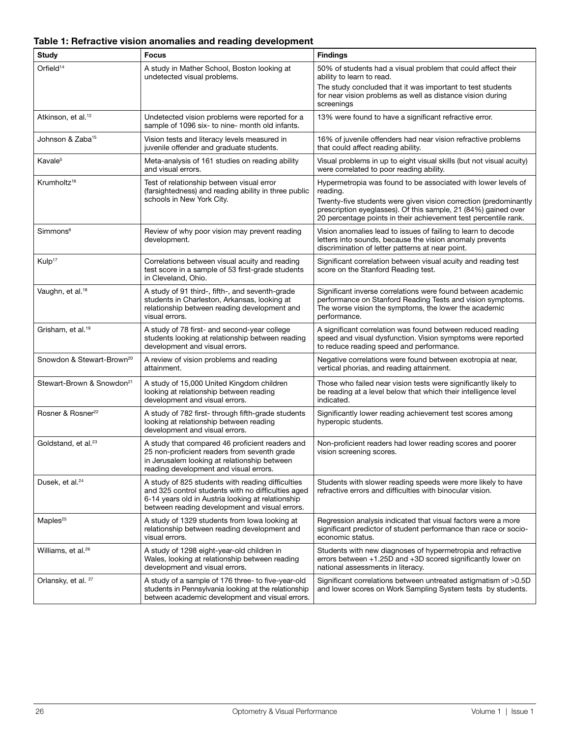#### **Table 1: Refractive vision anomalies and reading development**

| Study                                 | <b>Focus</b>                                                                                                                                                                                                   | <b>Findings</b>                                                                                                                                                                                                                                                                    |
|---------------------------------------|----------------------------------------------------------------------------------------------------------------------------------------------------------------------------------------------------------------|------------------------------------------------------------------------------------------------------------------------------------------------------------------------------------------------------------------------------------------------------------------------------------|
| Orfield <sup>14</sup>                 | A study in Mather School, Boston looking at<br>undetected visual problems.                                                                                                                                     | 50% of students had a visual problem that could affect their<br>ability to learn to read.<br>The study concluded that it was important to test students<br>for near vision problems as well as distance vision during<br>screenings                                                |
| Atkinson, et al. <sup>12</sup>        | Undetected vision problems were reported for a<br>sample of 1096 six- to nine- month old infants.                                                                                                              | 13% were found to have a significant refractive error.                                                                                                                                                                                                                             |
| Johnson & Zaba <sup>15</sup>          | Vision tests and literacy levels measured in<br>juvenile offender and graduate students.                                                                                                                       | 16% of juvenile offenders had near vision refractive problems<br>that could affect reading ability.                                                                                                                                                                                |
| Kavale <sup>5</sup>                   | Meta-analysis of 161 studies on reading ability<br>and visual errors.                                                                                                                                          | Visual problems in up to eight visual skills (but not visual acuity)<br>were correlated to poor reading ability.                                                                                                                                                                   |
| Krumholtz <sup>16</sup>               | Test of relationship between visual error<br>(farsightedness) and reading ability in three public<br>schools in New York City.                                                                                 | Hypermetropia was found to be associated with lower levels of<br>reading.<br>Twenty-five students were given vision correction (predominantly<br>prescription eyeglasses). Of this sample, 21 (84%) gained over<br>20 percentage points in their achievement test percentile rank. |
| Simmons <sup>6</sup>                  | Review of why poor vision may prevent reading<br>development.                                                                                                                                                  | Vision anomalies lead to issues of failing to learn to decode<br>letters into sounds, because the vision anomaly prevents<br>discrimination of letter patterns at near point.                                                                                                      |
| Kulp <sup>17</sup>                    | Correlations between visual acuity and reading<br>test score in a sample of 53 first-grade students<br>in Cleveland, Ohio.                                                                                     | Significant correlation between visual acuity and reading test<br>score on the Stanford Reading test.                                                                                                                                                                              |
| Vaughn, et al. <sup>18</sup>          | A study of 91 third-, fifth-, and seventh-grade<br>students in Charleston, Arkansas, looking at<br>relationship between reading development and<br>visual errors.                                              | Significant inverse correlations were found between academic<br>performance on Stanford Reading Tests and vision symptoms.<br>The worse vision the symptoms, the lower the academic<br>performance.                                                                                |
| Grisham, et al. <sup>19</sup>         | A study of 78 first- and second-year college<br>students looking at relationship between reading<br>development and visual errors.                                                                             | A significant correlation was found between reduced reading<br>speed and visual dysfunction. Vision symptoms were reported<br>to reduce reading speed and performance.                                                                                                             |
| Snowdon & Stewart-Brown <sup>20</sup> | A review of vision problems and reading<br>attainment.                                                                                                                                                         | Negative correlations were found between exotropia at near,<br>vertical phorias, and reading attainment.                                                                                                                                                                           |
| Stewart-Brown & Snowdon <sup>21</sup> | A study of 15,000 United Kingdom children<br>looking at relationship between reading<br>development and visual errors.                                                                                         | Those who failed near vision tests were significantly likely to<br>be reading at a level below that which their intelligence level<br>indicated.                                                                                                                                   |
| Rosner & Rosner <sup>22</sup>         | A study of 782 first- through fifth-grade students<br>looking at relationship between reading<br>development and visual errors.                                                                                | Significantly lower reading achievement test scores among<br>hyperopic students.                                                                                                                                                                                                   |
| Goldstand, et al. <sup>23</sup>       | A study that compared 46 proficient readers and<br>25 non-proficient readers from seventh grade<br>in Jerusalem looking at relationship between<br>reading development and visual errors.                      | Non-proficient readers had lower reading scores and poorer<br>vision screening scores.                                                                                                                                                                                             |
| Dusek, et al. <sup>24</sup>           | A study of 825 students with reading difficulties<br>and 325 control students with no difficulties aged<br>6-14 years old in Austria looking at relationship<br>between reading development and visual errors. | Students with slower reading speeds were more likely to have<br>refractive errors and difficulties with binocular vision.                                                                                                                                                          |
| Maples <sup>25</sup>                  | A study of 1329 students from lowa looking at<br>relationship between reading development and<br>visual errors.                                                                                                | Regression analysis indicated that visual factors were a more<br>significant predictor of student performance than race or socio-<br>economic status.                                                                                                                              |
| Williams, et al. <sup>26</sup>        | A study of 1298 eight-year-old children in<br>Wales, looking at relationship between reading<br>development and visual errors.                                                                                 | Students with new diagnoses of hypermetropia and refractive<br>errors between +1.25D and +3D scored significantly lower on<br>national assessments in literacy.                                                                                                                    |
| Orlansky, et al. <sup>27</sup>        | A study of a sample of 176 three- to five-year-old<br>students in Pennsylvania looking at the relationship<br>between academic development and visual errors.                                                  | Significant correlations between untreated astigmatism of >0.5D<br>and lower scores on Work Sampling System tests by students.                                                                                                                                                     |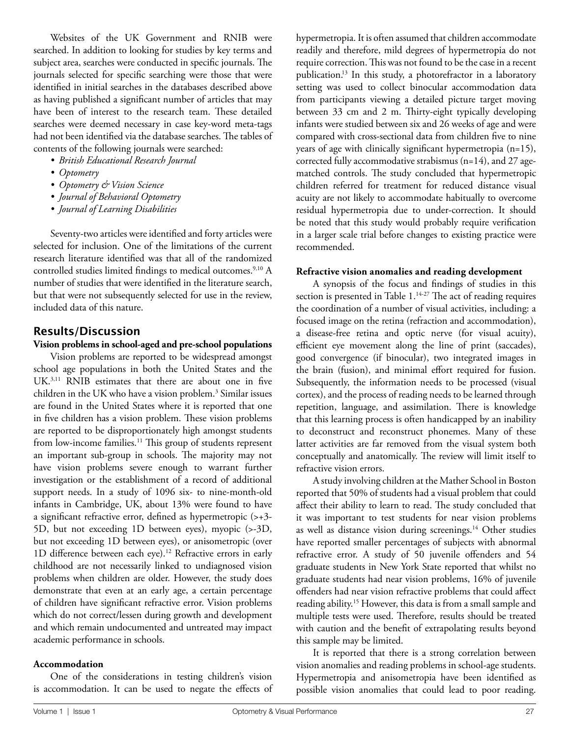Websites of the UK Government and RNIB were searched. In addition to looking for studies by key terms and subject area, searches were conducted in specific journals. The journals selected for specific searching were those that were identified in initial searches in the databases described above as having published a significant number of articles that may have been of interest to the research team. These detailed searches were deemed necessary in case key-word meta-tags had not been identified via the database searches. The tables of contents of the following journals were searched:

- *• British Educational Research Journal*
- *• Optometry*
- *• Optometry & Vision Science*
- *• Journal of Behavioral Optometry*
- *• Journal of Learning Disabilities*

Seventy-two articles were identified and forty articles were selected for inclusion. One of the limitations of the current research literature identified was that all of the randomized controlled studies limited findings to medical outcomes.<sup>9,10</sup> A number of studies that were identified in the literature search, but that were not subsequently selected for use in the review, included data of this nature.

## **Results/Discussion**

#### **Vision problems in school-aged and pre-school populations**

Vision problems are reported to be widespread amongst school age populations in both the United States and the UK.3,11 RNIB estimates that there are about one in five children in the UK who have a vision problem.<sup>3</sup> Similar issues are found in the United States where it is reported that one in five children has a vision problem. These vision problems are reported to be disproportionately high amongst students from low-income families.<sup>11</sup> This group of students represent an important sub-group in schools. The majority may not have vision problems severe enough to warrant further investigation or the establishment of a record of additional support needs. In a study of 1096 six- to nine-month-old infants in Cambridge, UK, about 13% were found to have a significant refractive error, defined as hypermetropic (>+3- 5D, but not exceeding 1D between eyes), myopic (>-3D, but not exceeding 1D between eyes), or anisometropic (over 1D difference between each eye).<sup>12</sup> Refractive errors in early childhood are not necessarily linked to undiagnosed vision problems when children are older. However, the study does demonstrate that even at an early age, a certain percentage of children have significant refractive error. Vision problems which do not correct/lessen during growth and development and which remain undocumented and untreated may impact academic performance in schools.

#### **Accommodation**

One of the considerations in testing children's vision is accommodation. It can be used to negate the effects of hypermetropia. It is often assumed that children accommodate readily and therefore, mild degrees of hypermetropia do not require correction. This was not found to be the case in a recent publication.13 In this study, a photorefractor in a laboratory setting was used to collect binocular accommodation data from participants viewing a detailed picture target moving between 33 cm and 2 m. Thirty-eight typically developing infants were studied between six and 26 weeks of age and were compared with cross-sectional data from children five to nine years of age with clinically significant hypermetropia (n=15), corrected fully accommodative strabismus (n=14), and 27 agematched controls. The study concluded that hypermetropic children referred for treatment for reduced distance visual acuity are not likely to accommodate habitually to overcome residual hypermetropia due to under-correction. It should be noted that this study would probably require verification in a larger scale trial before changes to existing practice were recommended.

#### **Refractive vision anomalies and reading development**

A synopsis of the focus and findings of studies in this section is presented in Table 1.<sup>14-27</sup> The act of reading requires the coordination of a number of visual activities, including: a focused image on the retina (refraction and accommodation), a disease-free retina and optic nerve (for visual acuity), efficient eye movement along the line of print (saccades), good convergence (if binocular), two integrated images in the brain (fusion), and minimal effort required for fusion. Subsequently, the information needs to be processed (visual cortex), and the process of reading needs to be learned through repetition, language, and assimilation. There is knowledge that this learning process is often handicapped by an inability to deconstruct and reconstruct phonemes. Many of these latter activities are far removed from the visual system both conceptually and anatomically. The review will limit itself to refractive vision errors.

A study involving children at the Mather School in Boston reported that 50% of students had a visual problem that could affect their ability to learn to read. The study concluded that it was important to test students for near vision problems as well as distance vision during screenings.<sup>14</sup> Other studies have reported smaller percentages of subjects with abnormal refractive error. A study of 50 juvenile offenders and 54 graduate students in New York State reported that whilst no graduate students had near vision problems, 16% of juvenile offenders had near vision refractive problems that could affect reading ability.15 However, this data is from a small sample and multiple tests were used. Therefore, results should be treated with caution and the benefit of extrapolating results beyond this sample may be limited.

It is reported that there is a strong correlation between vision anomalies and reading problems in school-age students. Hypermetropia and anisometropia have been identified as possible vision anomalies that could lead to poor reading.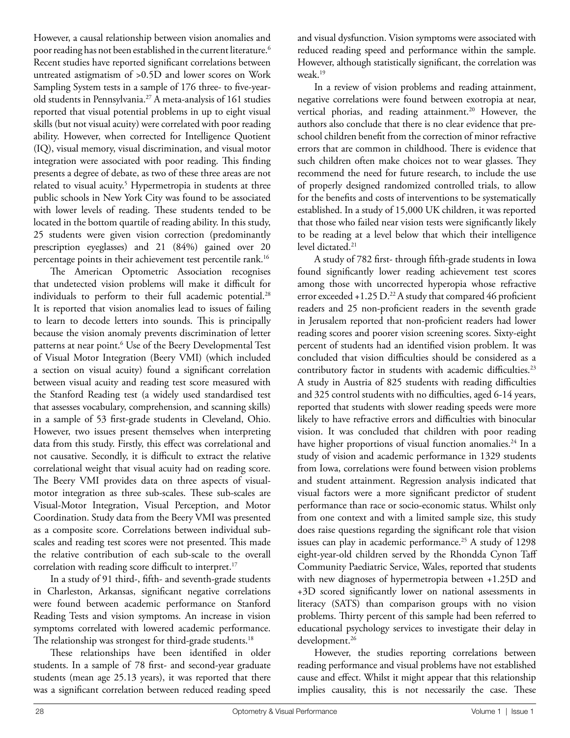However, a causal relationship between vision anomalies and poor reading has not been established in the current literature.<sup>6</sup> Recent studies have reported significant correlations between untreated astigmatism of >0.5D and lower scores on Work Sampling System tests in a sample of 176 three- to five-yearold students in Pennsylvania.<sup>27</sup> A meta-analysis of 161 studies reported that visual potential problems in up to eight visual skills (but not visual acuity) were correlated with poor reading ability. However, when corrected for Intelligence Quotient (IQ), visual memory, visual discrimination, and visual motor integration were associated with poor reading. This finding presents a degree of debate, as two of these three areas are not related to visual acuity.<sup>5</sup> Hypermetropia in students at three public schools in New York City was found to be associated with lower levels of reading. These students tended to be located in the bottom quartile of reading ability. In this study, 25 students were given vision correction (predominantly prescription eyeglasses) and 21 (84%) gained over 20 percentage points in their achievement test percentile rank.16

The American Optometric Association recognises that undetected vision problems will make it difficult for individuals to perform to their full academic potential.<sup>28</sup> It is reported that vision anomalies lead to issues of failing to learn to decode letters into sounds. This is principally because the vision anomaly prevents discrimination of letter patterns at near point.<sup>6</sup> Use of the Beery Developmental Test of Visual Motor Integration (Beery VMI) (which included a section on visual acuity) found a significant correlation between visual acuity and reading test score measured with the Stanford Reading test (a widely used standardised test that assesses vocabulary, comprehension, and scanning skills) in a sample of 53 first-grade students in Cleveland, Ohio. However, two issues present themselves when interpreting data from this study. Firstly, this effect was correlational and not causative. Secondly, it is difficult to extract the relative correlational weight that visual acuity had on reading score. The Beery VMI provides data on three aspects of visualmotor integration as three sub-scales. These sub-scales are Visual-Motor Integration, Visual Perception, and Motor Coordination. Study data from the Beery VMI was presented as a composite score. Correlations between individual subscales and reading test scores were not presented. This made the relative contribution of each sub-scale to the overall correlation with reading score difficult to interpret.<sup>17</sup>

In a study of 91 third-, fifth- and seventh-grade students in Charleston, Arkansas, significant negative correlations were found between academic performance on Stanford Reading Tests and vision symptoms. An increase in vision symptoms correlated with lowered academic performance. The relationship was strongest for third-grade students.<sup>18</sup>

These relationships have been identified in older students. In a sample of 78 first- and second-year graduate students (mean age 25.13 years), it was reported that there was a significant correlation between reduced reading speed and visual dysfunction. Vision symptoms were associated with reduced reading speed and performance within the sample. However, although statistically significant, the correlation was weak.19

In a review of vision problems and reading attainment, negative correlations were found between exotropia at near, vertical phorias, and reading attainment.<sup>20</sup> However, the authors also conclude that there is no clear evidence that preschool children benefit from the correction of minor refractive errors that are common in childhood. There is evidence that such children often make choices not to wear glasses. They recommend the need for future research, to include the use of properly designed randomized controlled trials, to allow for the benefits and costs of interventions to be systematically established. In a study of 15,000 UK children, it was reported that those who failed near vision tests were significantly likely to be reading at a level below that which their intelligence level dictated.<sup>21</sup>

A study of 782 first- through fifth-grade students in Iowa found significantly lower reading achievement test scores among those with uncorrected hyperopia whose refractive error exceeded  $+1.25$  D.<sup>22</sup> A study that compared 46 proficient readers and 25 non-proficient readers in the seventh grade in Jerusalem reported that non-proficient readers had lower reading scores and poorer vision screening scores. Sixty-eight percent of students had an identified vision problem. It was concluded that vision difficulties should be considered as a contributory factor in students with academic difficulties.<sup>23</sup> A study in Austria of 825 students with reading difficulties and 325 control students with no difficulties, aged 6-14 years, reported that students with slower reading speeds were more likely to have refractive errors and difficulties with binocular vision. It was concluded that children with poor reading have higher proportions of visual function anomalies.<sup>24</sup> In a study of vision and academic performance in 1329 students from Iowa, correlations were found between vision problems and student attainment. Regression analysis indicated that visual factors were a more significant predictor of student performance than race or socio-economic status. Whilst only from one context and with a limited sample size, this study does raise questions regarding the significant role that vision issues can play in academic performance.<sup>25</sup> A study of 1298 eight-year-old children served by the Rhondda Cynon Taff Community Paediatric Service, Wales, reported that students with new diagnoses of hypermetropia between +1.25D and +3D scored significantly lower on national assessments in literacy (SATS) than comparison groups with no vision problems. Thirty percent of this sample had been referred to educational psychology services to investigate their delay in development.<sup>26</sup>

However, the studies reporting correlations between reading performance and visual problems have not established cause and effect. Whilst it might appear that this relationship implies causality, this is not necessarily the case. These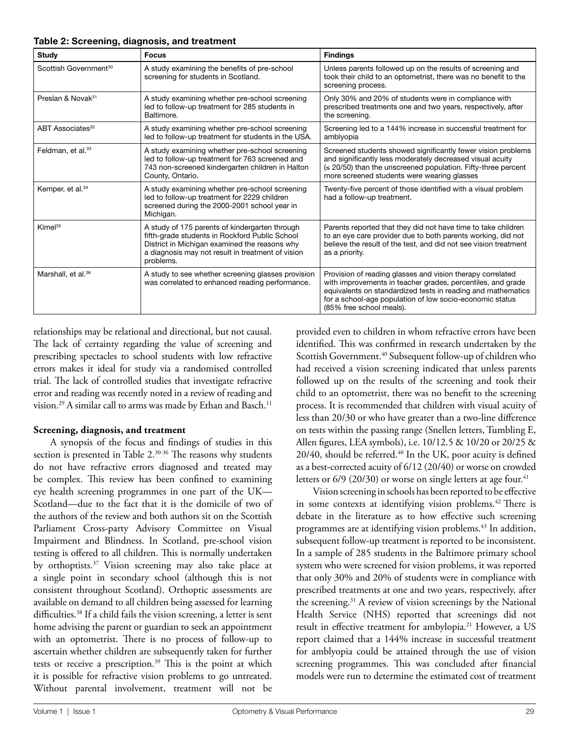| <b>Study</b>                      | <b>Focus</b>                                                                                                                                                                                                        | <b>Findings</b>                                                                                                                                                                                                                                                                   |
|-----------------------------------|---------------------------------------------------------------------------------------------------------------------------------------------------------------------------------------------------------------------|-----------------------------------------------------------------------------------------------------------------------------------------------------------------------------------------------------------------------------------------------------------------------------------|
| Scottish Government <sup>30</sup> | A study examining the benefits of pre-school<br>screening for students in Scotland.                                                                                                                                 | Unless parents followed up on the results of screening and<br>took their child to an optometrist, there was no benefit to the<br>screening process.                                                                                                                               |
| Preslan & Novak <sup>31</sup>     | A study examining whether pre-school screening<br>led to follow-up treatment for 285 students in<br>Baltimore.                                                                                                      | Only 30% and 20% of students were in compliance with<br>prescribed treatments one and two years, respectively, after<br>the screening.                                                                                                                                            |
| ABT Associates <sup>32</sup>      | A study examining whether pre-school screening<br>led to follow-up treatment for students in the USA.                                                                                                               | Screening led to a 144% increase in successful treatment for<br>amblyopia                                                                                                                                                                                                         |
| Feldman, et al. <sup>33</sup>     | A study examining whether pre-school screening<br>led to follow-up treatment for 763 screened and<br>743 non-screened kindergarten children in Halton<br>County, Ontario.                                           | Screened students showed significantly fewer vision problems<br>and significantly less moderately decreased visual acuity<br>(≤ 20/50) than the unscreened population. Fifty-three percent<br>more screened students were wearing glasses                                         |
| Kemper, et al. <sup>34</sup>      | A study examining whether pre-school screening<br>led to follow-up treatment for 2229 children<br>screened during the 2000-2001 school year in<br>Michigan.                                                         | Twenty-five percent of those identified with a visual problem<br>had a follow-up treatment.                                                                                                                                                                                       |
| Kimel <sup>35</sup>               | A study of 175 parents of kindergarten through<br>fifth-grade students in Rockford Public School<br>District in Michigan examined the reasons why<br>a diagnosis may not result in treatment of vision<br>problems. | Parents reported that they did not have time to take children<br>to an eye care provider due to both parents working, did not<br>believe the result of the test, and did not see vision treatment<br>as a priority.                                                               |
| Marshall, et al. <sup>36</sup>    | A study to see whether screening glasses provision<br>was correlated to enhanced reading performance.                                                                                                               | Provision of reading glasses and vision therapy correlated<br>with improvements in teacher grades, percentiles, and grade<br>equivalents on standardized tests in reading and mathematics<br>for a school-age population of low socio-economic status<br>(85% free school meals). |

#### **Table 2: Screening, diagnosis, and treatment**

relationships may be relational and directional, but not causal. The lack of certainty regarding the value of screening and prescribing spectacles to school students with low refractive errors makes it ideal for study via a randomised controlled trial. The lack of controlled studies that investigate refractive error and reading was recently noted in a review of reading and vision.<sup>29</sup> A similar call to arms was made by Ethan and Basch.<sup>11</sup>

#### **Screening, diagnosis, and treatment**

A synopsis of the focus and findings of studies in this section is presented in Table 2.<sup>30-36</sup> The reasons why students do not have refractive errors diagnosed and treated may be complex. This review has been confined to examining eye health screening programmes in one part of the UK— Scotland—due to the fact that it is the domicile of two of the authors of the review and both authors sit on the Scottish Parliament Cross-party Advisory Committee on Visual Impairment and Blindness. In Scotland, pre-school vision testing is offered to all children. This is normally undertaken by orthoptists.37 Vision screening may also take place at a single point in secondary school (although this is not consistent throughout Scotland). Orthoptic assessments are available on demand to all children being assessed for learning difficulties.<sup>38</sup> If a child fails the vision screening, a letter is sent home advising the parent or guardian to seek an appointment with an optometrist. There is no process of follow-up to ascertain whether children are subsequently taken for further tests or receive a prescription.<sup>39</sup> This is the point at which it is possible for refractive vision problems to go untreated. Without parental involvement, treatment will not be

provided even to children in whom refractive errors have been identified. This was confirmed in research undertaken by the Scottish Government.<sup>40</sup> Subsequent follow-up of children who had received a vision screening indicated that unless parents followed up on the results of the screening and took their child to an optometrist, there was no benefit to the screening process. It is recommended that children with visual acuity of less than 20/30 or who have greater than a two-line difference on tests within the passing range (Snellen letters, Tumbling E, Allen figures, LEA symbols), i.e. 10/12.5 & 10/20 or 20/25 & 20/40, should be referred.<sup>40</sup> In the UK, poor acuity is defined as a best-corrected acuity of 6/12 (20/40) or worse on crowded letters or  $6/9$  (20/30) or worse on single letters at age four.<sup>41</sup>

Vision screening in schools has been reported to be effective in some contexts at identifying vision problems.<sup>42</sup> There is debate in the literature as to how effective such screening programmes are at identifying vision problems.<sup>43</sup> In addition, subsequent follow-up treatment is reported to be inconsistent. In a sample of 285 students in the Baltimore primary school system who were screened for vision problems, it was reported that only 30% and 20% of students were in compliance with prescribed treatments at one and two years, respectively, after the screening.31 A review of vision screenings by the National Health Service (NHS) reported that screenings did not result in effective treatment for ambylopia.<sup>21</sup> However, a US report claimed that a 144% increase in successful treatment for amblyopia could be attained through the use of vision screening programmes. This was concluded after financial models were run to determine the estimated cost of treatment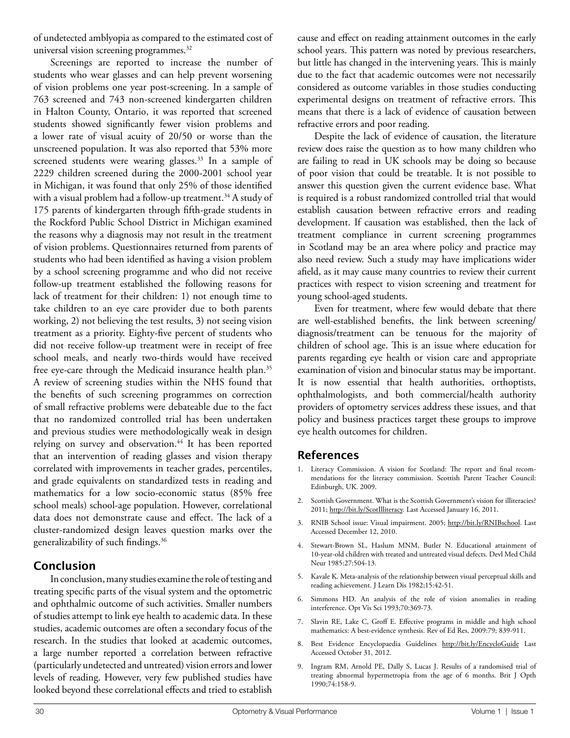of undetected amblyopia as compared to the estimated cost of universal vision screening programmes.32

Screenings are reported to increase the number of students who wear glasses and can help prevent worsening of vision problems one year post-screening. In a sample of 763 screened and 743 non-screened kindergarten children in Halton County, Ontario, it was reported that screened students showed significantly fewer vision problems and a lower rate of visual acuity of 20/50 or worse than the unscreened population. It was also reported that 53% more screened students were wearing glasses.<sup>33</sup> In a sample of 2229 children screened during the 2000-2001 school year in Michigan, it was found that only 25% of those identified with a visual problem had a follow-up treatment.<sup>34</sup> A study of 175 parents of kindergarten through fifth-grade students in the Rockford Public School District in Michigan examined the reasons why a diagnosis may not result in the treatment of vision problems. Questionnaires returned from parents of students who had been identified as having a vision problem by a school screening programme and who did not receive follow-up treatment established the following reasons for lack of treatment for their children: 1) not enough time to take children to an eye care provider due to both parents working, 2) not believing the test results, 3) not seeing vision treatment as a priority. Eighty-five percent of students who did not receive follow-up treatment were in receipt of free school meals, and nearly two-thirds would have received free eye-care through the Medicaid insurance health plan.<sup>35</sup> A review of screening studies within the NHS found that the benefits of such screening programmes on correction of small refractive problems were debateable due to the fact that no randomized controlled trial has been undertaken and previous studies were methodologically weak in design relying on survey and observation.<sup>44</sup> It has been reported that an intervention of reading glasses and vision therapy correlated with improvements in teacher grades, percentiles, and grade equivalents on standardized tests in reading and mathematics for a low socio-economic status (85% free school meals) school-age population. However, correlational data does not demonstrate cause and effect. The lack of a cluster-randomized design leaves question marks over the generalizability of such findings.36

# **Conclusion**

In conclusion, many studies examine the role of testing and treating specific parts of the visual system and the optometric and ophthalmic outcome of such activities. Smaller numbers of studies attempt to link eye health to academic data. In these studies, academic outcomes are often a secondary focus of the research. In the studies that looked at academic outcomes, a large number reported a correlation between refractive (particularly undetected and untreated) vision errors and lower levels of reading. However, very few published studies have looked beyond these correlational effects and tried to establish

cause and effect on reading attainment outcomes in the early school years. This pattern was noted by previous researchers, but little has changed in the intervening years. This is mainly due to the fact that academic outcomes were not necessarily considered as outcome variables in those studies conducting experimental designs on treatment of refractive errors. This means that there is a lack of evidence of causation between refractive errors and poor reading.

Despite the lack of evidence of causation, the literature review does raise the question as to how many children who are failing to read in UK schools may be doing so because of poor vision that could be treatable. It is not possible to answer this question given the current evidence base. What is required is a robust randomized controlled trial that would establish causation between refractive errors and reading development. If causation was established, then the lack of treatment compliance in current screening programmes in Scotland may be an area where policy and practice may also need review. Such a study may have implications wider afield, as it may cause many countries to review their current practices with respect to vision screening and treatment for young school-aged students.

Even for treatment, where few would debate that there are well-established benefits, the link between screening/ diagnosis/treatment can be tenuous for the majority of children of school age. This is an issue where education for parents regarding eye health or vision care and appropriate examination of vision and binocular status may be important. It is now essential that health authorities, orthoptists, ophthalmologists, and both commercial/health authority providers of optometry services address these issues, and that policy and business practices target these groups to improve eye health outcomes for children.

# **References**

- 1. Literacy Commission. A vision for Scotland: The report and final recommendations for the literacy commission. Scottish Parent Teacher Council: Edinburgh, UK. 2009.
- 2. Scottish Government. What is the Scottish Government's vision for illiteracies? 2011; [http://bit.ly/ScotIlliteracy.](http://bit.ly/ScotIlliteracy) Last Accessed January 16, 2011.
- 3. RNIB School issue: Visual impairment. 2005; [http://bit.ly/RNIBschool.](http://bit.ly/RNIBschool) Last Accessed December 12, 2010.
- 4. Stewart-Brown SL, Haslum MNM, Butler N. Educational attainment of 10-year-old children with treated and untreated visual defects. Devl Med Child Neur 1985:27:504-13.
- 5. Kavale K. Meta-analysis of the relationship between visual perceptual skills and reading achievement. J Learn Dis 1982;15:42-51.
- 6. Simmons HD. An analysis of the role of vision anomalies in reading interference. Opt Vis Sci 1993;70:369-73.
- 7. Slavin RE, Lake C, Groff E. Effective programs in middle and high school mathematics: A best-evidence synthesis. Rev of Ed Res, 2009:79; 839-911.
- 8. Best Evidence Encyclopaedia Guidelines <http://bit.ly/EncycloGuide>Last Accessed October 31, 2012.
- 9. Ingram RM, Arnold PE, Dally S, Lucas J. Results of a randomised trial of treating abnormal hypermetropia from the age of 6 months. Brit J Opth 1990;74:158-9.